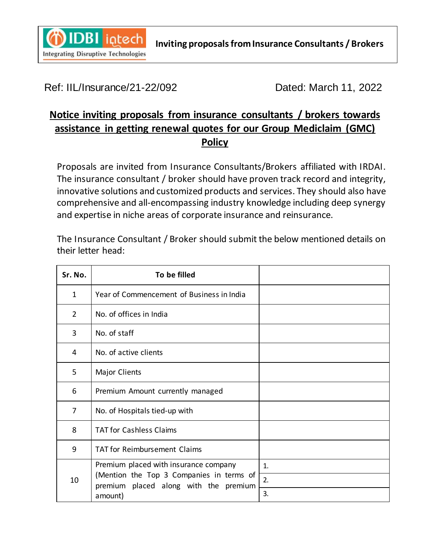

## Ref: IIL/Insurance/21-22/092 Dated: March 11, 2022

## **Notice inviting proposals from insurance consultants / brokers towards assistance in getting renewal quotes for our Group Mediclaim (GMC) Policy**

Proposals are invited from Insurance Consultants/Brokers affiliated with IRDAI. The insurance consultant / broker should have proven track record and integrity, innovative solutions and customized products and services. They should also have comprehensive and all-encompassing industry knowledge including deep synergy and expertise in niche areas of corporate insurance and reinsurance.

The Insurance Consultant / Broker should submit the below mentioned details on their letter head:

| Sr. No.        | To be filled                                                                                                                          |    |
|----------------|---------------------------------------------------------------------------------------------------------------------------------------|----|
| $\mathbf{1}$   | Year of Commencement of Business in India                                                                                             |    |
| $\overline{2}$ | No. of offices in India                                                                                                               |    |
| 3              | No. of staff                                                                                                                          |    |
| 4              | No. of active clients                                                                                                                 |    |
| 5              | <b>Major Clients</b>                                                                                                                  |    |
| 6              | Premium Amount currently managed                                                                                                      |    |
| 7              | No. of Hospitals tied-up with                                                                                                         |    |
| 8              | <b>TAT for Cashless Claims</b>                                                                                                        |    |
| 9              | <b>TAT for Reimbursement Claims</b>                                                                                                   |    |
| 10             | Premium placed with insurance company<br>(Mention the Top 3 Companies in terms of<br>premium placed along with the premium<br>amount) | 1. |
|                |                                                                                                                                       | 2. |
|                |                                                                                                                                       | 3. |